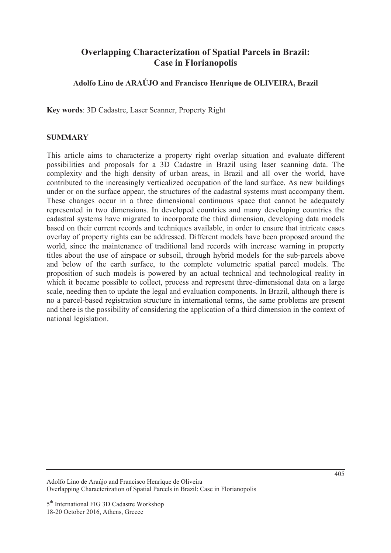# **Overlapping Characterization of Spatial Parcels in Brazil: Case in Florianopolis**

### **Adolfo Lino de ARAÚJO and Francisco Henrique de OLIVEIRA, Brazil**

**Key words**: 3D Cadastre, Laser Scanner, Property Right

#### **SUMMARY**

This article aims to characterize a property right overlap situation and evaluate different possibilities and proposals for a 3D Cadastre in Brazil using laser scanning data. The complexity and the high density of urban areas, in Brazil and all over the world, have contributed to the increasingly verticalized occupation of the land surface. As new buildings under or on the surface appear, the structures of the cadastral systems must accompany them. These changes occur in a three dimensional continuous space that cannot be adequately represented in two dimensions. In developed countries and many developing countries the cadastral systems have migrated to incorporate the third dimension, developing data models based on their current records and techniques available, in order to ensure that intricate cases overlay of property rights can be addressed. Different models have been proposed around the world, since the maintenance of traditional land records with increase warning in property titles about the use of airspace or subsoil, through hybrid models for the sub-parcels above and below of the earth surface, to the complete volumetric spatial parcel models. The proposition of such models is powered by an actual technical and technological reality in which it became possible to collect, process and represent three-dimensional data on a large scale, needing then to update the legal and evaluation components. In Brazil, although there is no a parcel-based registration structure in international terms, the same problems are present and there is the possibility of considering the application of a third dimension in the context of national legislation.

Adolfo Lino de Araújo and Francisco Henrique de Oliveira Overlapping Characterization of Spatial Parcels in Brazil: Case in Florianopolis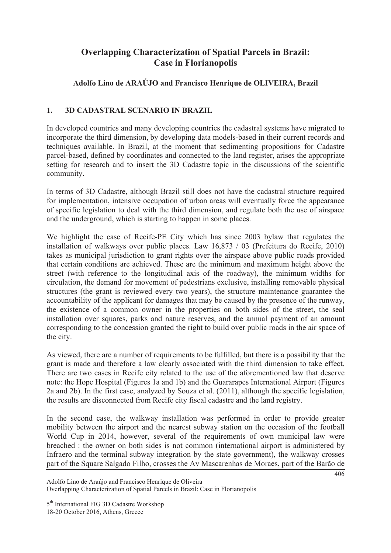# **Overlapping Characterization of Spatial Parcels in Brazil: Case in Florianopolis**

# **Adolfo Lino de ARAÚJO and Francisco Henrique de OLIVEIRA, Brazil**

## **1. 3D CADASTRAL SCENARIO IN BRAZIL**

In developed countries and many developing countries the cadastral systems have migrated to incorporate the third dimension, by developing data models-based in their current records and techniques available. In Brazil, at the moment that sedimenting propositions for Cadastre parcel-based, defined by coordinates and connected to the land register, arises the appropriate setting for research and to insert the 3D Cadastre topic in the discussions of the scientific community.

In terms of 3D Cadastre, although Brazil still does not have the cadastral structure required for implementation, intensive occupation of urban areas will eventually force the appearance of specific legislation to deal with the third dimension, and regulate both the use of airspace and the underground, which is starting to happen in some places.

We highlight the case of Recife-PE City which has since 2003 bylaw that regulates the installation of walkways over public places. Law 16,873 / 03 (Prefeitura do Recife, 2010) takes as municipal jurisdiction to grant rights over the airspace above public roads provided that certain conditions are achieved. These are the minimum and maximum height above the street (with reference to the longitudinal axis of the roadway), the minimum widths for circulation, the demand for movement of pedestrians exclusive, installing removable physical structures (the grant is reviewed every two years), the structure maintenance guarantee the accountability of the applicant for damages that may be caused by the presence of the runway. the existence of a common owner in the properties on both sides of the street, the seal installation over squares, parks and nature reserves, and the annual payment of an amount corresponding to the concession granted the right to build over public roads in the air space of the city.

As viewed, there are a number of requirements to be fulfilled, but there is a possibility that the grant is made and therefore a law clearly associated with the third dimension to take effect. There are two cases in Recife city related to the use of the aforementioned law that deserve note: the Hope Hospital (Figures 1a and 1b) and the Guararapes International Airport (Figures 2a and 2b). In the first case, analyzed by Souza et al. (2011), although the specific legislation, the results are disconnected from Recife city fiscal cadastre and the land registry.

In the second case, the walkway installation was performed in order to provide greater mobility between the airport and the nearest subway station on the occasion of the football World Cup in 2014, however, several of the requirements of own municipal law were breached : the owner on both sides is not common (international airport is administered by Infraero and the terminal subway integration by the state government), the walkway crosses part of the Square Salgado Filho, crosses the Av Mascarenhas de Moraes, part of the Barão de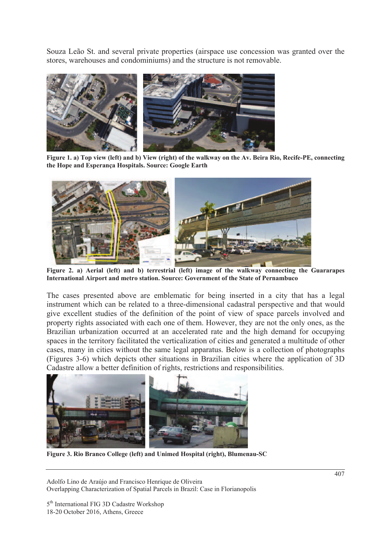Souza Leão St. and several private properties (airspace use concession was granted over the stores, warehouses and condominiums) and the structure is not removable.



**Figure 1. a) Top view (left) and b) View (right) of the walkway on the Av. Beira Rio, Recife-PE, connecting the Hope and Esperança Hospitals. Source: Google Earth** 



**Figure 2. a) Aerial (left) and b) terrestrial (left) image of the walkway connecting the Guararapes International Airport and metro station. Source: Government of the State of Pernambuco** 

The cases presented above are emblematic for being inserted in a city that has a legal instrument which can be related to a three-dimensional cadastral perspective and that would give excellent studies of the definition of the point of view of space parcels involved and property rights associated with each one of them. However, they are not the only ones, as the Brazilian urbanization occurred at an accelerated rate and the high demand for occupying spaces in the territory facilitated the verticalization of cities and generated a multitude of other cases, many in cities without the same legal apparatus. Below is a collection of photographs (Figures 3-6) which depicts other situations in Brazilian cities where the application of 3D Cadastre allow a better definition of rights, restrictions and responsibilities.



**Figure 3. Rio Branco College (left) and Unimed Hospital (right), Blumenau-SC**

Adolfo Lino de Araújo and Francisco Henrique de Oliveira Overlapping Characterization of Spatial Parcels in Brazil: Case in Florianopolis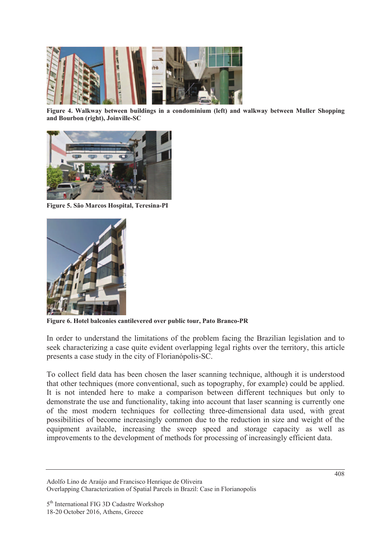

**Figure 4. Walkway between buildings in a condominium (left) and walkway between Muller Shopping and Bourbon (right), Joinville-SC** 



**Figure 5. São Marcos Hospital, Teresina-PI** 



**Figure 6. Hotel balconies cantilevered over public tour, Pato Branco-PR** 

In order to understand the limitations of the problem facing the Brazilian legislation and to seek characterizing a case quite evident overlapping legal rights over the territory, this article presents a case study in the city of Florianópolis-SC.

To collect field data has been chosen the laser scanning technique, although it is understood that other techniques (more conventional, such as topography, for example) could be applied. It is not intended here to make a comparison between different techniques but only to demonstrate the use and functionality, taking into account that laser scanning is currently one of the most modern techniques for collecting three-dimensional data used, with great possibilities of become increasingly common due to the reduction in size and weight of the equipment available, increasing the sweep speed and storage capacity as well as improvements to the development of methods for processing of increasingly efficient data.

Adolfo Lino de Araújo and Francisco Henrique de Oliveira Overlapping Characterization of Spatial Parcels in Brazil: Case in Florianopolis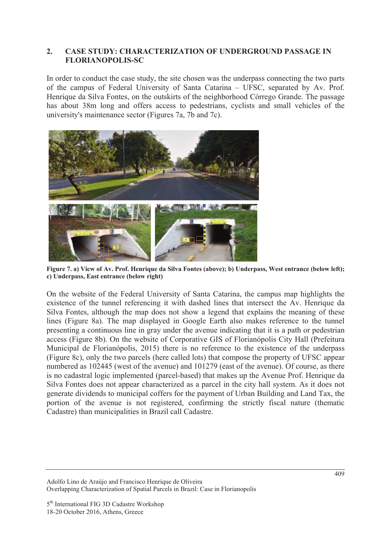#### **2. CASE STUDY: CHARACTERIZATION OF UNDERGROUND PASSAGE IN FLORIANOPOLIS-SC**

In order to conduct the case study, the site chosen was the underpass connecting the two parts of the campus of Federal University of Santa Catarina – UFSC, separated by Av. Prof. Henrique da Silva Fontes, on the outskirts of the neighborhood Córrego Grande. The passage has about 38m long and offers access to pedestrians, cyclists and small vehicles of the university's maintenance sector (Figures 7a, 7b and 7c).



**Figure 7. a) View of Av. Prof. Henrique da Silva Fontes (above); b) Underpass, West entrance (below left); c) Underpass, East entrance (below right)** 

On the website of the Federal University of Santa Catarina, the campus map highlights the existence of the tunnel referencing it with dashed lines that intersect the Av. Henrique da Silva Fontes, although the map does not show a legend that explains the meaning of these lines (Figure 8a). The map displayed in Google Earth also makes reference to the tunnel presenting a continuous line in gray under the avenue indicating that it is a path or pedestrian access (Figure 8b). On the website of Corporative GIS of Florianópolis City Hall (Prefeitura Municipal de Florianópolis, 2015) there is no reference to the existence of the underpass (Figure 8c), only the two parcels (here called lots) that compose the property of UFSC appear numbered as 102445 (west of the avenue) and 101279 (east of the avenue). Of course, as there is no cadastral logic implemented (parcel-based) that makes up the Avenue Prof. Henrique da Silva Fontes does not appear characterized as a parcel in the city hall system. As it does not generate dividends to municipal coffers for the payment of Urban Building and Land Tax, the portion of the avenue is not registered, confirming the strictly fiscal nature (thematic Cadastre) than municipalities in Brazil call Cadastre.

Adolfo Lino de Araújo and Francisco Henrique de Oliveira Overlapping Characterization of Spatial Parcels in Brazil: Case in Florianopolis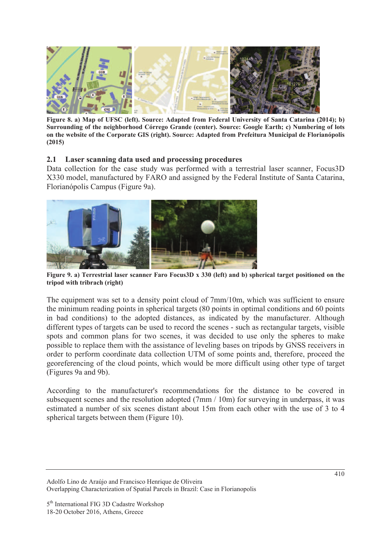

**Figure 8. a) Map of UFSC (left). Source: Adapted from Federal University of Santa Catarina (2014); b) Surrounding of the neighborhood Córrego Grande (center). Source: Google Earth; c) Numbering of lots on the website of the Corporate GIS (right). Source: Adapted from Prefeitura Municipal de Florianópolis (2015)** 

#### **2.1 Laser scanning data used and processing procedures**

Data collection for the case study was performed with a terrestrial laser scanner, Focus3D X330 model, manufactured by FARO and assigned by the Federal Institute of Santa Catarina, Florianópolis Campus (Figure 9a).



**Figure 9. a) Terrestrial laser scanner Faro Focus3D x 330 (left) and b) spherical target positioned on the tripod with tribrach (right)** 

The equipment was set to a density point cloud of 7mm/10m, which was sufficient to ensure the minimum reading points in spherical targets (80 points in optimal conditions and 60 points in bad conditions) to the adopted distances, as indicated by the manufacturer. Although different types of targets can be used to record the scenes - such as rectangular targets, visible spots and common plans for two scenes, it was decided to use only the spheres to make possible to replace them with the assistance of leveling bases on tripods by GNSS receivers in order to perform coordinate data collection UTM of some points and, therefore, proceed the georeferencing of the cloud points, which would be more difficult using other type of target (Figures 9a and 9b).

According to the manufacturer's recommendations for the distance to be covered in subsequent scenes and the resolution adopted (7mm / 10m) for surveying in underpass, it was estimated a number of six scenes distant about 15m from each other with the use of 3 to 4 spherical targets between them (Figure 10).

Adolfo Lino de Araújo and Francisco Henrique de Oliveira Overlapping Characterization of Spatial Parcels in Brazil: Case in Florianopolis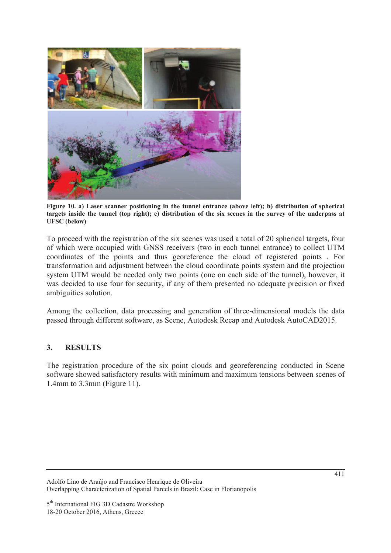

**Figure 10. a) Laser scanner positioning in the tunnel entrance (above left); b) distribution of spherical targets inside the tunnel (top right); c) distribution of the six scenes in the survey of the underpass at UFSC (below)** 

To proceed with the registration of the six scenes was used a total of 20 spherical targets, four of which were occupied with GNSS receivers (two in each tunnel entrance) to collect UTM coordinates of the points and thus georeference the cloud of registered points . For transformation and adjustment between the cloud coordinate points system and the projection system UTM would be needed only two points (one on each side of the tunnel), however, it was decided to use four for security, if any of them presented no adequate precision or fixed ambiguities solution.

Among the collection, data processing and generation of three-dimensional models the data passed through different software, as Scene, Autodesk Recap and Autodesk AutoCAD2015.

#### **3. RESULTS**

The registration procedure of the six point clouds and georeferencing conducted in Scene software showed satisfactory results with minimum and maximum tensions between scenes of 1.4mm to 3.3mm (Figure 11).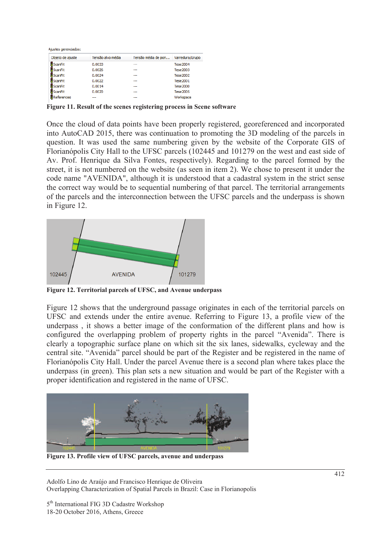Ajustes gerenciados:

| Objeto de ajuste | Tensão alvo média | Tensão média de pon | Varredura/Grupo |  |
|------------------|-------------------|---------------------|-----------------|--|
| ScanFit          | 0.0033            | ---                 | <b>Tese2004</b> |  |
| 累ScanFit         | 0.0026            | ---                 | <b>Tese2003</b> |  |
| <b>異ScanFit</b>  | 0.0024            | ---                 | <b>Tese2002</b> |  |
| <b>異ScanFit</b>  | 0.0022            | ---                 | <b>Tese2001</b> |  |
| 界ScanFit         | 0.0014            | ---                 | Tese 2000       |  |
| 累ScanFit         | 0.0020            | ---                 | Tese2005        |  |
| References       |                   | ---                 | Workspace       |  |

**Figure 11. Result of the scenes registering process in Scene software** 

Once the cloud of data points have been properly registered, georeferenced and incorporated into AutoCAD 2015, there was continuation to promoting the 3D modeling of the parcels in question. It was used the same numbering given by the website of the Corporate GIS of Florianópolis City Hall to the UFSC parcels (102445 and 101279 on the west and east side of Av. Prof. Henrique da Silva Fontes, respectively). Regarding to the parcel formed by the street, it is not numbered on the website (as seen in item 2). We chose to present it under the code name "AVENIDA", although it is understood that a cadastral system in the strict sense the correct way would be to sequential numbering of that parcel. The territorial arrangements of the parcels and the interconnection between the UFSC parcels and the underpass is shown in Figure 12.



**Figure 12. Territorial parcels of UFSC, and Avenue underpass** 

Figure 12 shows that the underground passage originates in each of the territorial parcels on UFSC and extends under the entire avenue. Referring to Figure 13, a profile view of the underpass , it shows a better image of the conformation of the different plans and how is configured the overlapping problem of property rights in the parcel "Avenida". There is clearly a topographic surface plane on which sit the six lanes, sidewalks, cycleway and the central site. "Avenida" parcel should be part of the Register and be registered in the name of Florianópolis City Hall. Under the parcel Avenue there is a second plan where takes place the underpass (in green). This plan sets a new situation and would be part of the Register with a proper identification and registered in the name of UFSC.



**Figure 13. Profile view of UFSC parcels, avenue and underpass** 

Adolfo Lino de Araújo and Francisco Henrique de Oliveira Overlapping Characterization of Spatial Parcels in Brazil: Case in Florianopolis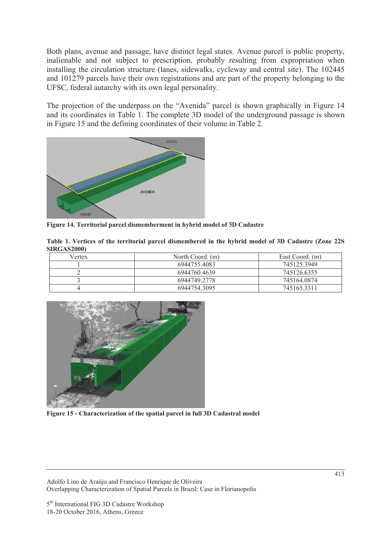Both plans, avenue and passage, have distinct legal states. Avenue parcel is public property, inalienable and not subject to prescription, probably resulting from expropriation when installing the circulation structure (lanes, sidewalks, cycleway and central site). The 102445 and 101279 parcels have their own registrations and are part of the property belonging to the UFSC, federal autarchy with its own legal personality.

The projection of the underpass on the "Avenida" parcel is shown graphically in Figure 14 and its coordinates in Table 1. The complete 3D model of the underground passage is shown in Figure 15 and the defining coordinates of their volume in Table 2.



**Figure 14. Territorial parcel dismemberment in hybrid model of 3D Cadastre** 

**Table 1. Vertices of the territorial parcel dismembered in the hybrid model of 3D Cadastre (Zone 22S SIRGAS2000)** 

| Vertex | North Coord. (m) | East Coord. (m) |
|--------|------------------|-----------------|
|        | 6944755.4083     | 745125.3949     |
|        | 6944760.4639     | 745126.6355     |
|        | 6944749.2778     | 745164.0874     |
|        | 6944754.3095     | 7451653311      |



**Figure 15 - Characterization of the spatial parcel in full 3D Cadastral model** 

Adolfo Lino de Araújo and Francisco Henrique de Oliveira Overlapping Characterization of Spatial Parcels in Brazil: Case in Florianopolis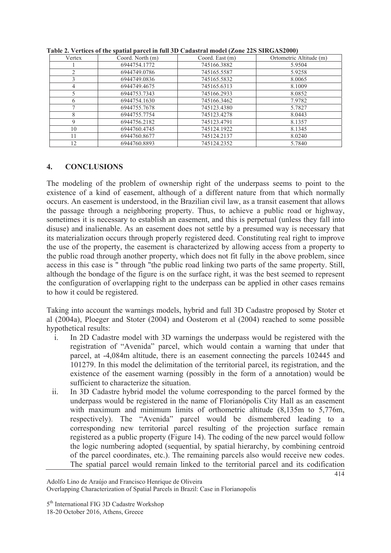| Vertex         | Coord. North (m) | Coord. East (m) | Ortometric Altitude (m) |
|----------------|------------------|-----------------|-------------------------|
|                | 6944754.1772     | 745166.3882     | 5.9504                  |
| $\overline{c}$ | 6944749.0786     | 745165.5587     | 5.9258                  |
| 3              | 6944749.0836     | 745165.5832     | 8.0065                  |
| 4              | 6944749.4675     | 745165.6313     | 8.1009                  |
| 5              | 6944753.7343     | 745166.2933     | 8.0852                  |
| 6              | 6944754.1630     | 745166.3462     | 7.9782                  |
| Ξ              | 6944755.7678     | 745123.4380     | 5.7827                  |
| 8              | 6944755.7754     | 745123.4278     | 8.0443                  |
| 9              | 6944756.2182     | 745123.4791     | 8.1357                  |
| 10             | 6944760.4745     | 745124.1922     | 8.1345                  |
| 11             | 6944760.8677     | 745124.2137     | 8.0240                  |
| 12             | 6944760.8893     | 745124.2352     | 5.7840                  |

**Table 2. Vertices of the spatial parcel in full 3D Cadastral model (Zone 22S SIRGAS2000)** 

#### **4. CONCLUSIONS**

The modeling of the problem of ownership right of the underpass seems to point to the existence of a kind of easement, although of a different nature from that which normally occurs. An easement is understood, in the Brazilian civil law, as a transit easement that allows the passage through a neighboring property. Thus, to achieve a public road or highway, sometimes it is necessary to establish an easement, and this is perpetual (unless they fall into disuse) and inalienable. As an easement does not settle by a presumed way is necessary that its materialization occurs through properly registered deed. Constituting real right to improve the use of the property, the easement is characterized by allowing access from a property to the public road through another property, which does not fit fully in the above problem, since access in this case is " through "the public road linking two parts of the same property. Still, although the bondage of the figure is on the surface right, it was the best seemed to represent the configuration of overlapping right to the underpass can be applied in other cases remains to how it could be registered.

Taking into account the warnings models, hybrid and full 3D Cadastre proposed by Stoter et al (2004a), Ploeger and Stoter (2004) and Oosterom et al (2004) reached to some possible hypothetical results:

- i. In 2D Cadastre model with 3D warnings the underpass would be registered with the registration of "Avenida" parcel, which would contain a warning that under that parcel, at -4,084m altitude, there is an easement connecting the parcels 102445 and 101279. In this model the delimitation of the territorial parcel, its registration, and the existence of the easement warning (possibly in the form of a annotation) would be sufficient to characterize the situation.
- ii. In 3D Cadastre hybrid model the volume corresponding to the parcel formed by the underpass would be registered in the name of Florianópolis City Hall as an easement with maximum and minimum limits of orthometric altitude (8,135m to 5,776m, respectively). The "Avenida" parcel would be dismembered leading to a corresponding new territorial parcel resulting of the projection surface remain registered as a public property (Figure 14). The coding of the new parcel would follow the logic numbering adopted (sequential, by spatial hierarchy, by combining centroid of the parcel coordinates, etc.). The remaining parcels also would receive new codes. The spatial parcel would remain linked to the territorial parcel and its codification

Adolfo Lino de Araújo and Francisco Henrique de Oliveira Overlapping Characterization of Spatial Parcels in Brazil: Case in Florianopolis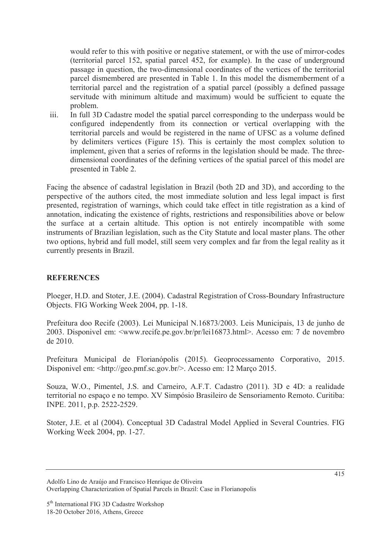would refer to this with positive or negative statement, or with the use of mirror-codes (territorial parcel 152, spatial parcel 452, for example). In the case of underground passage in question, the two-dimensional coordinates of the vertices of the territorial parcel dismembered are presented in Table 1. In this model the dismemberment of a territorial parcel and the registration of a spatial parcel (possibly a defined passage servitude with minimum altitude and maximum) would be sufficient to equate the problem.

iii. In full 3D Cadastre model the spatial parcel corresponding to the underpass would be configured independently from its connection or vertical overlapping with the territorial parcels and would be registered in the name of UFSC as a volume defined by delimiters vertices (Figure 15). This is certainly the most complex solution to implement, given that a series of reforms in the legislation should be made. The threedimensional coordinates of the defining vertices of the spatial parcel of this model are presented in Table 2.

Facing the absence of cadastral legislation in Brazil (both 2D and 3D), and according to the perspective of the authors cited, the most immediate solution and less legal impact is first presented, registration of warnings, which could take effect in title registration as a kind of annotation, indicating the existence of rights, restrictions and responsibilities above or below the surface at a certain altitude. This option is not entirely incompatible with some instruments of Brazilian legislation, such as the City Statute and local master plans. The other two options, hybrid and full model, still seem very complex and far from the legal reality as it currently presents in Brazil.

### **REFERENCES**

Ploeger, H.D. and Stoter, J.E. (2004). Cadastral Registration of Cross-Boundary Infrastructure Objects. FIG Working Week 2004, pp. 1-18.

Prefeitura doo Recife (2003). Lei Municipal N.16873/2003. Leis Municipais, 13 de junho de 2003. Disponivel em: <www.recife.pe.gov.br/pr/lei16873.html>. Acesso em: 7 de novembro de 2010.

Prefeitura Municipal de Florianópolis (2015). Geoprocessamento Corporativo, 2015. Disponivel em: <http://geo.pmf.sc.gov.br/>. Acesso em: 12 Março 2015.

Souza, W.O., Pimentel, J.S. and Carneiro, A.F.T. Cadastro (2011). 3D e 4D: a realidade territorial no espaço e no tempo. XV Simpósio Brasileiro de Sensoriamento Remoto. Curitiba: INPE. 2011, p.p. 2522-2529.

Stoter, J.E. et al (2004). Conceptual 3D Cadastral Model Applied in Several Countries. FIG Working Week 2004, pp. 1-27.

Adolfo Lino de Araújo and Francisco Henrique de Oliveira Overlapping Characterization of Spatial Parcels in Brazil: Case in Florianopolis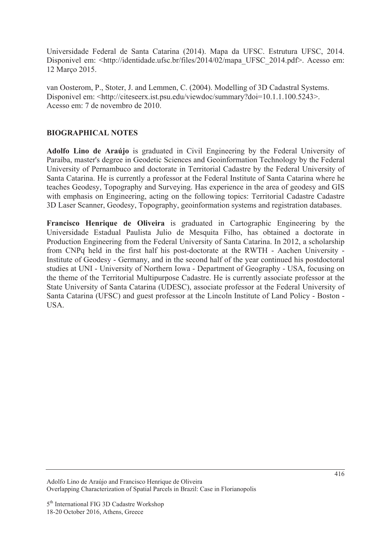Universidade Federal de Santa Catarina (2014). Mapa da UFSC. Estrutura UFSC, 2014. Disponivel em: <http://identidade.ufsc.br/files/2014/02/mapa\_UFSC\_2014.pdf>. Acesso em: 12 Março 2015.

van Oosterom, P., Stoter, J. and Lemmen, C. (2004). Modelling of 3D Cadastral Systems. Disponivel em: <http://citeseerx.ist.psu.edu/viewdoc/summary?doi=10.1.1.100.5243>. Acesso em: 7 de novembro de 2010.

#### **BIOGRAPHICAL NOTES**

**Adolfo Lino de Araújo** is graduated in Civil Engineering by the Federal University of Paraíba, master's degree in Geodetic Sciences and Geoinformation Technology by the Federal University of Pernambuco and doctorate in Territorial Cadastre by the Federal University of Santa Catarina. He is currently a professor at the Federal Institute of Santa Catarina where he teaches Geodesy, Topography and Surveying. Has experience in the area of geodesy and GIS with emphasis on Engineering, acting on the following topics: Territorial Cadastre Cadastre 3D Laser Scanner, Geodesy, Topography, geoinformation systems and registration databases.

**Francisco Henrique de Oliveira** is graduated in Cartographic Engineering by the Universidade Estadual Paulista Julio de Mesquita Filho, has obtained a doctorate in Production Engineering from the Federal University of Santa Catarina. In 2012, a scholarship from CNPq held in the first half his post-doctorate at the RWTH - Aachen University - Institute of Geodesy - Germany, and in the second half of the year continued his postdoctoral studies at UNI - University of Northern Iowa - Department of Geography - USA, focusing on the theme of the Territorial Multipurpose Cadastre. He is currently associate professor at the State University of Santa Catarina (UDESC), associate professor at the Federal University of Santa Catarina (UFSC) and guest professor at the Lincoln Institute of Land Policy - Boston - USA.

Adolfo Lino de Araújo and Francisco Henrique de Oliveira Overlapping Characterization of Spatial Parcels in Brazil: Case in Florianopolis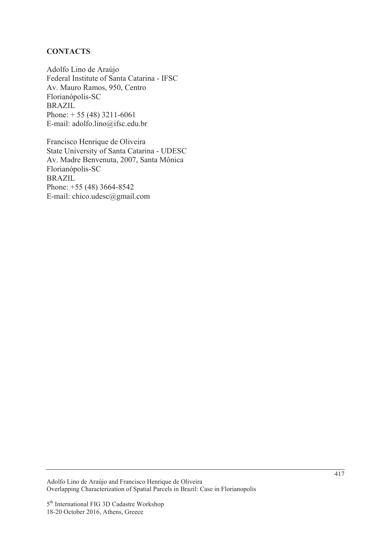#### **CONTACTS**

Adolfo Lino de Araújo Federal Institute of Santa Catarina - IFSC Av. Mauro Ramos, 950, Centro Florianópolis-SC BRAZIL Phone:  $+ 55 (48) 3211 - 6061$ E-mail: adolfo.lino@ifsc.edu.br

Francisco Henrique de Oliveira State University of Santa Catarina - UDESC Av. Madre Benvenuta, 2007, Santa Mônica Florianópolis-SC BRAZIL Phone: +55 (48) 3664-8542 E-mail: chico.udesc@gmail.com